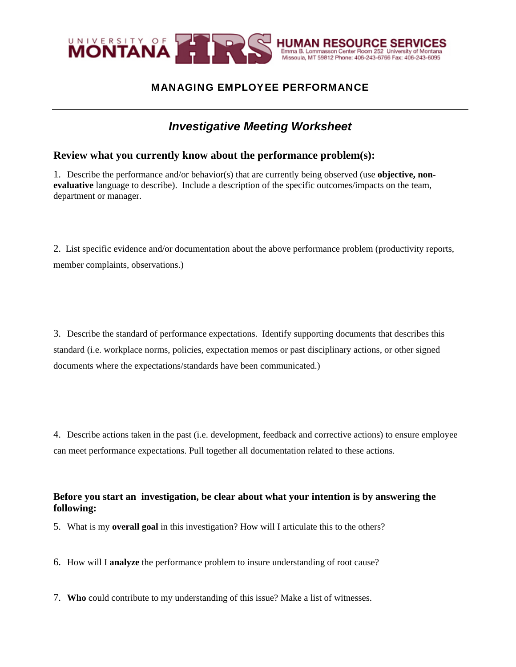

## MANAGING EMPLOYEE PERFORMANCE

# *Investigative Meeting Worksheet*

### **Review what you currently know about the performance problem(s):**

1. Describe the performance and/or behavior(s) that are currently being observed (use **objective, nonevaluative** language to describe). Include a description of the specific outcomes/impacts on the team, department or manager.

2. List specific evidence and/or documentation about the above performance problem (productivity reports, member complaints, observations.)

3. Describe the standard of performance expectations. Identify supporting documents that describes this standard (i.e. workplace norms, policies, expectation memos or past disciplinary actions, or other signed documents where the expectations/standards have been communicated.)

4. Describe actions taken in the past (i.e. development, feedback and corrective actions) to ensure employee can meet performance expectations. Pull together all documentation related to these actions.

#### **Before you start an investigation, be clear about what your intention is by answering the following:**

5. What is my **overall goal** in this investigation? How will I articulate this to the others?

6. How will I **analyze** the performance problem to insure understanding of root cause?

7. **Who** could contribute to my understanding of this issue? Make a list of witnesses.